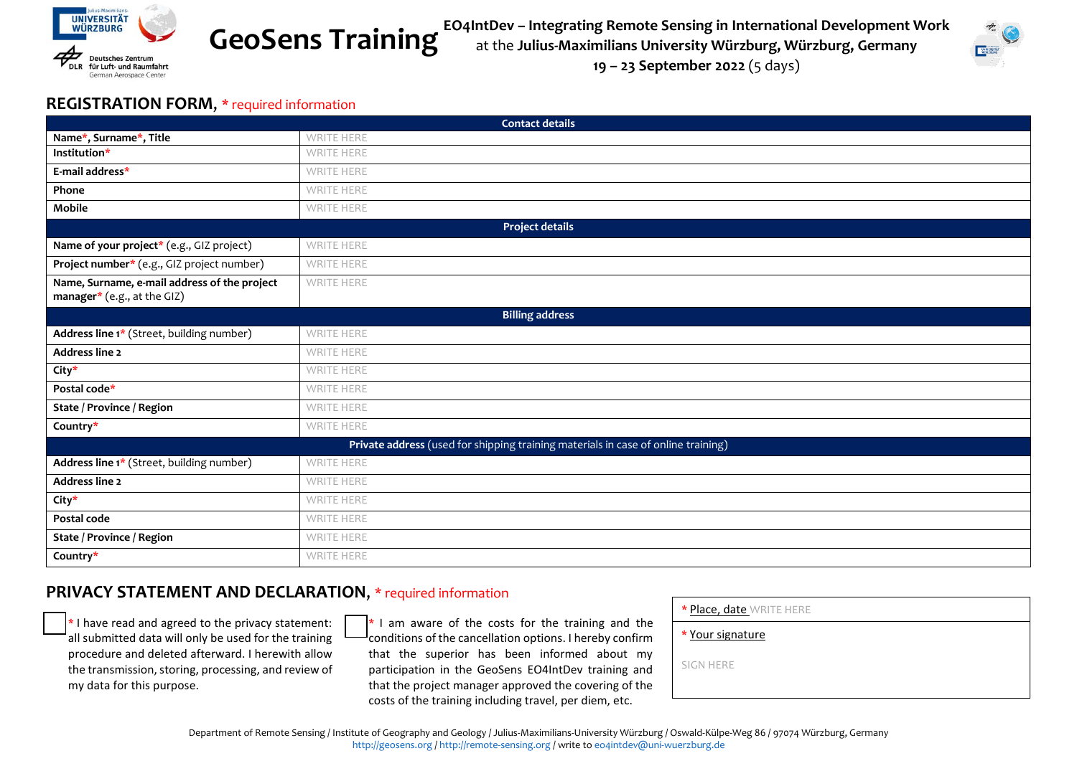

**GeoSens Training**

**EO4IntDev – Integrating Remote Sensing in International Development Work** at the **Julius-Maximilians University Würzburg, Würzburg, Germany 19 – 23 September 2022** (5 days)

#### **REGISTRATION FORM**, \* required information

| <b>Contact details</b>                                                            |                   |
|-----------------------------------------------------------------------------------|-------------------|
| Name*, Surname*, Title                                                            | <b>WRITE HERE</b> |
| Institution*                                                                      | <b>WRITE HERE</b> |
| E-mail address*                                                                   | <b>WRITE HERE</b> |
| Phone                                                                             | <b>WRITE HERE</b> |
| Mobile                                                                            | <b>WRITE HERE</b> |
| <b>Project details</b>                                                            |                   |
| Name of your project* (e.g., GIZ project)                                         | <b>WRITE HERE</b> |
| Project number* (e.g., GIZ project number)                                        | <b>WRITE HERE</b> |
| Name, Surname, e-mail address of the project                                      | <b>WRITE HERE</b> |
| manager* (e.g., at the GIZ)                                                       |                   |
| <b>Billing address</b>                                                            |                   |
| Address line 1* (Street, building number)                                         | <b>WRITE HERE</b> |
| Address line 2                                                                    | <b>WRITE HERE</b> |
| City*                                                                             | <b>WRITE HERE</b> |
| Postal code*                                                                      | WRITE HERE        |
| <b>State / Province / Region</b>                                                  | <b>WRITE HERE</b> |
| Country*                                                                          | <b>WRITE HERE</b> |
| Private address (used for shipping training materials in case of online training) |                   |
| Address line 1* (Street, building number)                                         | <b>WRITE HERE</b> |
| Address line 2                                                                    | <b>WRITE HERE</b> |
| City*                                                                             | <b>WRITE HERE</b> |
| Postal code                                                                       | <b>WRITE HERE</b> |
| State / Province / Region                                                         | <b>WRITE HERE</b> |
| Country*                                                                          | <b>WRITE HERE</b> |

### **PRIVACY STATEMENT AND DECLARATION**, \* required information

 $\ast$  I have read and agreed to the privacy statement: all submitted data will only be used for the training procedure and deleted afterward. I herewith allow the transmission, storing, processing, and review of my data for this purpose.

 $\frac{1}{\sqrt{1+\frac{1}{n}}}$  am aware of the costs for the training and the  $\frac{1}{\sqrt{1+\frac{1}{n}}}$ conditions of the cancellation options. I hereby confirm that the superior has been informed about my participation in the GeoSens EO4IntDev training and that the project manager approved the covering of the costs of the training including travel, per diem, etc.

| * Place, date WRITE HERE |  |
|--------------------------|--|
| * Your signature         |  |
| SIGN HERE                |  |